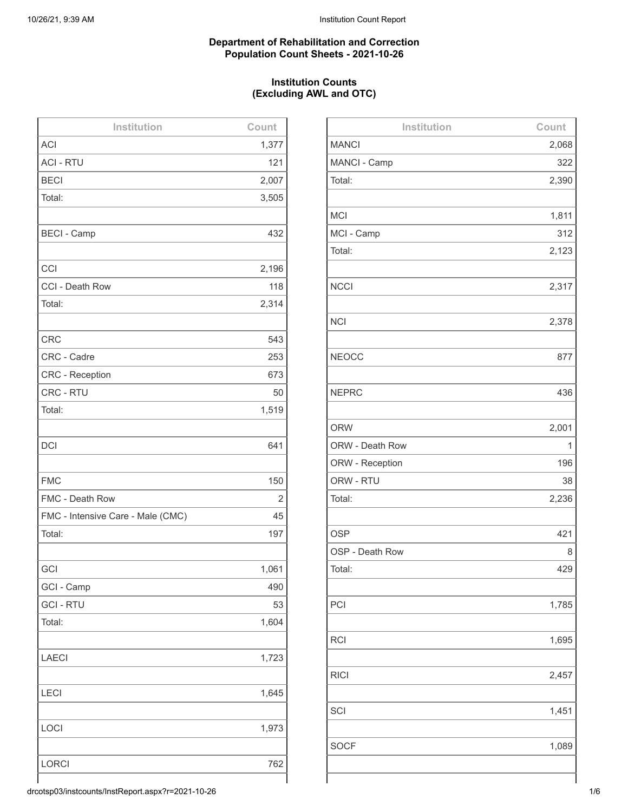## **Department of Rehabilitation and Correction Population Count Sheets - 2021-10-26**

# **Institution Counts (Excluding AWL and OTC)**

| Institution                       | Count |
|-----------------------------------|-------|
| <b>ACI</b>                        | 1,377 |
| <b>ACI - RTU</b>                  | 121   |
| <b>BECI</b>                       | 2,007 |
| Total:                            | 3,505 |
|                                   |       |
| <b>BECI - Camp</b>                | 432   |
|                                   |       |
| CCI                               | 2,196 |
| CCI - Death Row                   | 118   |
| Total:                            | 2,314 |
|                                   |       |
| <b>CRC</b>                        | 543   |
| CRC - Cadre                       | 253   |
| <b>CRC</b> - Reception            | 673   |
| CRC - RTU                         | 50    |
| Total:                            | 1,519 |
|                                   |       |
| <b>DCI</b>                        | 641   |
|                                   |       |
| <b>FMC</b>                        | 150   |
| FMC - Death Row                   | 2     |
| FMC - Intensive Care - Male (CMC) | 45    |
| Total:                            | 197   |
|                                   |       |
| GCI                               | 1,061 |
| GCI - Camp                        | 490   |
| <b>GCI - RTU</b>                  | 53    |
| Total:                            | 1,604 |
|                                   |       |
| <b>LAECI</b>                      | 1,723 |
|                                   |       |
| <b>LECI</b>                       | 1,645 |
|                                   |       |
| LOCI                              | 1,973 |
|                                   |       |
| <b>LORCI</b>                      | 762   |
|                                   |       |

| Institution     | Count |
|-----------------|-------|
| <b>MANCI</b>    | 2,068 |
| MANCI - Camp    | 322   |
| Total:          | 2,390 |
|                 |       |
| <b>MCI</b>      | 1,811 |
| MCI - Camp      | 312   |
| Total:          | 2,123 |
|                 |       |
| <b>NCCI</b>     | 2,317 |
|                 |       |
| <b>NCI</b>      | 2,378 |
|                 |       |
| <b>NEOCC</b>    | 877   |
|                 |       |
| <b>NEPRC</b>    | 436   |
|                 |       |
| <b>ORW</b>      | 2,001 |
| ORW - Death Row | 1     |
| ORW - Reception | 196   |
| ORW - RTU       | 38    |
| Total:          | 2,236 |
|                 |       |
| <b>OSP</b>      | 421   |
| OSP - Death Row | 8     |
| Total:          | 429   |
|                 |       |
| PCI             | 1,785 |
|                 |       |
| <b>RCI</b>      | 1,695 |
|                 |       |
| <b>RICI</b>     | 2,457 |
|                 |       |
| SCI             | 1,451 |
|                 |       |
| <b>SOCF</b>     | 1,089 |
|                 |       |

drcotsp03/instcounts/InstReport.aspx?r=2021-10-26 1/6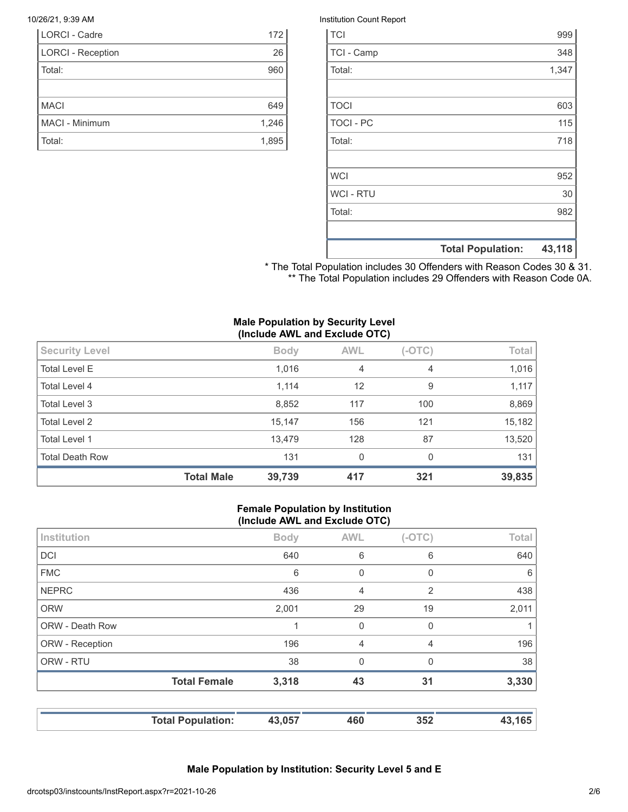| <b>LORCI - Cadre</b>     | 172   |
|--------------------------|-------|
| <b>LORCI - Reception</b> | 26    |
| Total:                   | 960   |
|                          |       |
| <b>MACI</b>              | 649   |
| MACI - Minimum           | 1,246 |
| Total:                   | 1,895 |

#### 10/26/21, 9:39 AM Institution Count Report

| <b>TCI</b>       |                          | 999    |
|------------------|--------------------------|--------|
| TCI - Camp       |                          | 348    |
| Total:           |                          | 1,347  |
|                  |                          |        |
| <b>TOCI</b>      |                          | 603    |
| <b>TOCI - PC</b> |                          | 115    |
| Total:           |                          | 718    |
|                  |                          |        |
| <b>WCI</b>       |                          | 952    |
| <b>WCI - RTU</b> |                          | 30     |
| Total:           |                          | 982    |
|                  |                          |        |
|                  | <b>Total Population:</b> | 43,118 |

\* The Total Population includes 30 Offenders with Reason Codes 30 & 31. \*\* The Total Population includes 29 Offenders with Reason Code 0A.

#### **Male Population by Security Level (Include AWL and Exclude OTC)**

|                        | <b>Total Male</b> | 39,739      | 417        | 321      | 39,835 |
|------------------------|-------------------|-------------|------------|----------|--------|
| <b>Total Death Row</b> |                   | 131         | 0          | $\Omega$ | 131    |
| Total Level 1          |                   | 13,479      | 128        | 87       | 13,520 |
| Total Level 2          |                   | 15,147      | 156        | 121      | 15,182 |
| Total Level 3          |                   | 8,852       | 117        | 100      | 8,869  |
| Total Level 4          |                   | 1,114       | 12         | 9        | 1,117  |
| <b>Total Level E</b>   |                   | 1,016       | 4          | 4        | 1,016  |
| <b>Security Level</b>  |                   | <b>Body</b> | <b>AWL</b> | $(-OTC)$ | Total  |

#### **Female Population by Institution (Include AWL and Exclude OTC)**

|                 | <b>Total Female</b> | 3,318       | 43             | 31             | 3,330        |
|-----------------|---------------------|-------------|----------------|----------------|--------------|
|                 |                     |             |                |                |              |
| ORW - RTU       |                     | 38          | $\Omega$       | $\Omega$       | 38           |
| ORW - Reception |                     | 196         | $\overline{4}$ | $\overline{4}$ | 196          |
| ORW - Death Row |                     | 1           | 0              | $\mathbf 0$    |              |
| <b>ORW</b>      |                     | 2,001       | 29             | 19             | 2,011        |
| <b>NEPRC</b>    |                     | 436         | $\overline{4}$ | 2              | 438          |
| <b>FMC</b>      |                     | 6           | 0              | 0              | 6            |
| <b>DCI</b>      |                     | 640         | 6              | 6              | 640          |
| Institution     |                     | <b>Body</b> | <b>AWL</b>     | $(-OTC)$       | <b>Total</b> |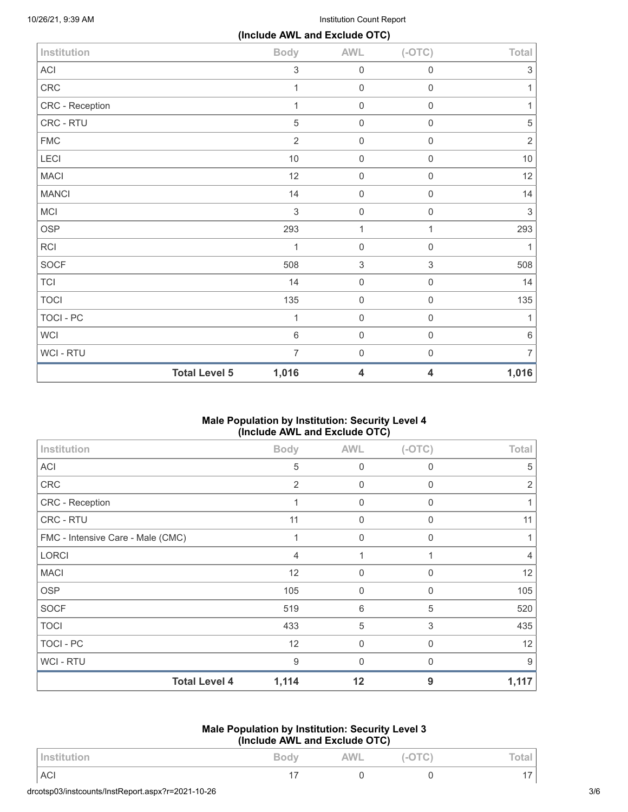10/26/21, 9:39 AM Institution Count Report

|                  |                      | (Include AWL and Exclude OTC) |                     |                           |                           |
|------------------|----------------------|-------------------------------|---------------------|---------------------------|---------------------------|
| Institution      |                      | <b>Body</b>                   | <b>AWL</b>          | $(-OTC)$                  | Total                     |
| <b>ACI</b>       |                      | 3                             | 0                   | $\mathbf 0$               | $\ensuremath{\mathsf{3}}$ |
| CRC              |                      | 1                             | $\mathsf{O}\xspace$ | $\mathsf{O}\xspace$       | 1                         |
| CRC - Reception  |                      | 1                             | $\mathsf{O}\xspace$ | 0                         | 1                         |
| CRC - RTU        |                      | $\mathbf 5$                   | $\mathsf 0$         | $\mathsf{O}\xspace$       | $\mathbf 5$               |
| <b>FMC</b>       |                      | $\overline{2}$                | $\mathsf{O}\xspace$ | $\mathsf{O}\xspace$       | $\sqrt{2}$                |
| LECI             |                      | $10$                          | 0                   | $\mathsf{O}\xspace$       | $10$                      |
| <b>MACI</b>      |                      | 12                            | $\mathbf 0$         | $\mathsf{O}\xspace$       | 12                        |
| <b>MANCI</b>     |                      | 14                            | $\mathsf{O}\xspace$ | $\mathsf{O}\xspace$       | 14                        |
| MCI              |                      | 3                             | $\mathsf{O}\xspace$ | $\boldsymbol{0}$          | 3                         |
| <b>OSP</b>       |                      | 293                           | $\mathbf{1}$        | $\mathbf{1}$              | 293                       |
| <b>RCI</b>       |                      | 1                             | $\mathsf 0$         | $\mathsf{O}\xspace$       | 1                         |
| <b>SOCF</b>      |                      | 508                           | $\sqrt{3}$          | $\ensuremath{\mathsf{3}}$ | 508                       |
| <b>TCI</b>       |                      | 14                            | $\mathsf{O}\xspace$ | $\mathsf{O}\xspace$       | 14                        |
| <b>TOCI</b>      |                      | 135                           | $\mathbf 0$         | $\mathbf 0$               | 135                       |
| <b>TOCI - PC</b> |                      | 1                             | $\boldsymbol{0}$    | 0                         | 1                         |
| <b>WCI</b>       |                      | 6                             | $\mathsf{O}\xspace$ | 0                         | $\,6\,$                   |
| WCI - RTU        |                      | $\overline{7}$                | $\mathbf 0$         | $\mathbf 0$               | $\overline{7}$            |
|                  | <b>Total Level 5</b> | 1,016                         | 4                   | 4                         | 1,016                     |

# **Male Population by Institution: Security Level 4 (Include AWL and Exclude OTC)**

| Institution                       | <b>Body</b>    | <b>AWL</b>  | $(-OTC)$    | <b>Total</b>   |
|-----------------------------------|----------------|-------------|-------------|----------------|
| <b>ACI</b>                        | 5              | 0           | 0           | 5              |
| CRC                               | $\overline{2}$ | 0           | 0           | 2              |
| CRC - Reception                   | 1              | 0           | $\mathbf 0$ | 1              |
| CRC - RTU                         | 11             | 0           | 0           | 11             |
| FMC - Intensive Care - Male (CMC) | 1              | 0           | $\Omega$    |                |
| <b>LORCI</b>                      | 4              | 1           | 1           | $\overline{4}$ |
| <b>MACI</b>                       | 12             | 0           | 0           | 12             |
| <b>OSP</b>                        | 105            | $\mathbf 0$ | $\mathbf 0$ | 105            |
| <b>SOCF</b>                       | 519            | 6           | 5           | 520            |
| <b>TOCI</b>                       | 433            | 5           | 3           | 435            |
| <b>TOCI - PC</b>                  | 12             | $\mathbf 0$ | $\mathbf 0$ | 12             |
| <b>WCI-RTU</b>                    | 9              | $\Omega$    | 0           | 9              |
| <b>Total Level 4</b>              | 1,114          | 12          | 9           | 1,117          |

#### **Male Population by Institution: Security Level 3 (Include AWL and Exclude OTC)**

| Institution                                       | Body | $-O + C$ | Total |     |
|---------------------------------------------------|------|----------|-------|-----|
| <b>ACI</b>                                        |      |          |       |     |
| drcotsp03/instcounts/InstReport.aspx?r=2021-10-26 |      |          |       | 3/6 |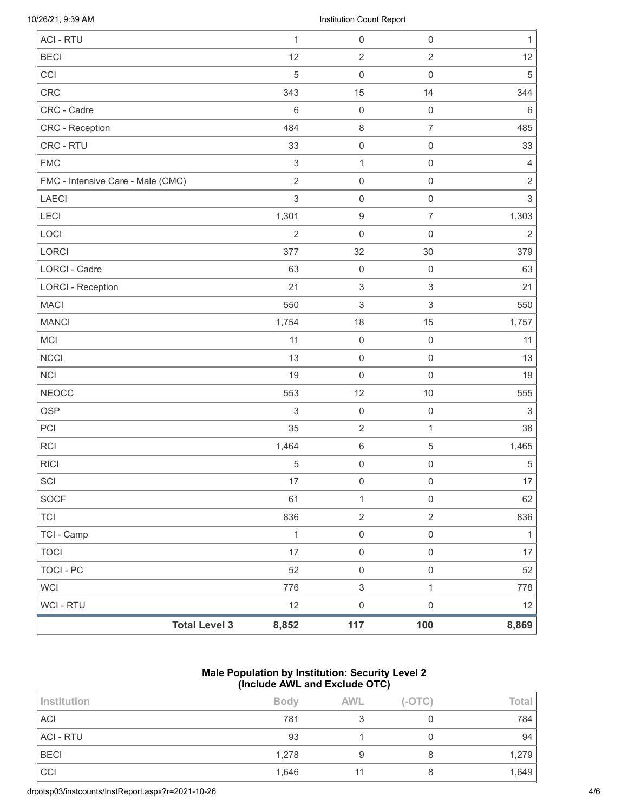10/26/21, 9:39 AM Institution Count Report

| <b>Total Level 3</b>              | 8,852          | $117$                     | 100                       | 8,869                     |
|-----------------------------------|----------------|---------------------------|---------------------------|---------------------------|
| WCI - RTU                         | 12             | $\mathsf{O}\xspace$       | $\mathsf{O}\xspace$       | 12                        |
| <b>WCI</b>                        | 776            | $\mathfrak{S}$            | $\mathbf{1}$              | 778                       |
| TOCI - PC                         | 52             | $\mathsf{O}\xspace$       | $\mathsf{O}\xspace$       | 52                        |
| <b>TOCI</b>                       | 17             | $\mathsf{O}\xspace$       | $\mathsf{O}\xspace$       | 17                        |
| TCI - Camp                        | $\mathbf{1}$   | $\mathsf{O}\xspace$       | $\mathsf{O}\xspace$       | 1                         |
| <b>TCI</b>                        | 836            | $\overline{2}$            | $\overline{2}$            | 836                       |
| SOCF                              | 61             | $\mathbf{1}$              | $\mathsf{O}\xspace$       | 62                        |
| SCI                               | 17             | $\mathbf 0$               | $\mathsf 0$               | 17                        |
| <b>RICI</b>                       | $\mathbf 5$    | $\mathsf 0$               | $\mathsf 0$               | $\mathbf 5$               |
| RCI                               | 1,464          | $\,6\,$                   | $\sqrt{5}$                | 1,465                     |
| PCI                               | 35             | $\sqrt{2}$                | $\mathbf{1}$              | 36                        |
| <b>OSP</b>                        | $\mathsf 3$    | $\mathsf 0$               | $\mathsf 0$               | $\ensuremath{\mathsf{3}}$ |
| <b>NEOCC</b>                      | 553            | 12                        | $10$                      | 555                       |
| <b>NCI</b>                        | 19             | $\mathsf 0$               | $\mathsf 0$               | 19                        |
| <b>NCCI</b>                       | 13             | $\mathsf 0$               | $\mathsf 0$               | 13                        |
| MCI                               | 11             | $\mathbf 0$               | $\mathsf 0$               | 11                        |
| <b>MANCI</b>                      | 1,754          | 18                        | 15                        | 1,757                     |
| <b>MACI</b>                       | 550            | $\ensuremath{\mathsf{3}}$ | $\ensuremath{\mathsf{3}}$ | 550                       |
| <b>LORCI - Reception</b>          | 21             | $\ensuremath{\mathsf{3}}$ | $\ensuremath{\mathsf{3}}$ | 21                        |
| LORCI - Cadre                     | 63             | $\mathbf 0$               | $\mathsf{O}\xspace$       | 63                        |
| LORCI                             | 377            | 32                        | 30                        | 379                       |
| LOCI                              | $\overline{2}$ | $\mathsf 0$               | $\mathsf{O}\xspace$       | $\sqrt{2}$                |
| LECI                              | 1,301          | $\boldsymbol{9}$          | $\overline{7}$            | 1,303                     |
| <b>LAECI</b>                      | $\mathsf 3$    | $\mathbf 0$               | $\mathsf{O}\xspace$       | $\mathfrak{S}$            |
| FMC - Intensive Care - Male (CMC) | $\overline{2}$ | $\mathsf{O}\xspace$       | $\mathsf 0$               | $\sqrt{2}$                |
| <b>FMC</b>                        | $\mathfrak{S}$ | $\mathbf{1}$              | $\mathsf{O}\xspace$       | $\overline{4}$            |
| CRC - RTU                         | 33             | $\mathsf 0$               | $\mathsf 0$               | 33                        |
| CRC - Reception                   | 484            | $\,8\,$                   | $\overline{7}$            | 485                       |
| CRC - Cadre                       | $\,6\,$        | $\mathbf 0$               | $\mathsf{O}\xspace$       | 6                         |
| CRC                               | 343            | 15                        | 14                        | 344                       |
| CCI                               | 5              | $\mathsf 0$               | $\mathsf{O}\xspace$       | $\sqrt{5}$                |
| <b>BECI</b>                       | 12             | $\overline{2}$            | $\overline{2}$            | 12                        |
| <b>ACI - RTU</b>                  | $\mathbf{1}$   | $\mathsf 0$               | $\mathsf{O}\xspace$       | $\mathbf{1}$              |

## **Male Population by Institution: Security Level 2 (Include AWL and Exclude OTC)**

| <b>Body</b> | <b>AWL</b> | $(-OTC)$ | Total |
|-------------|------------|----------|-------|
| 781         |            |          | 784   |
| 93          |            |          | 94    |
| 1,278       |            |          | 1,279 |
| 1,646       |            |          | ,649  |
|             |            |          |       |

drcotsp03/instcounts/InstReport.aspx?r=2021-10-26 4/6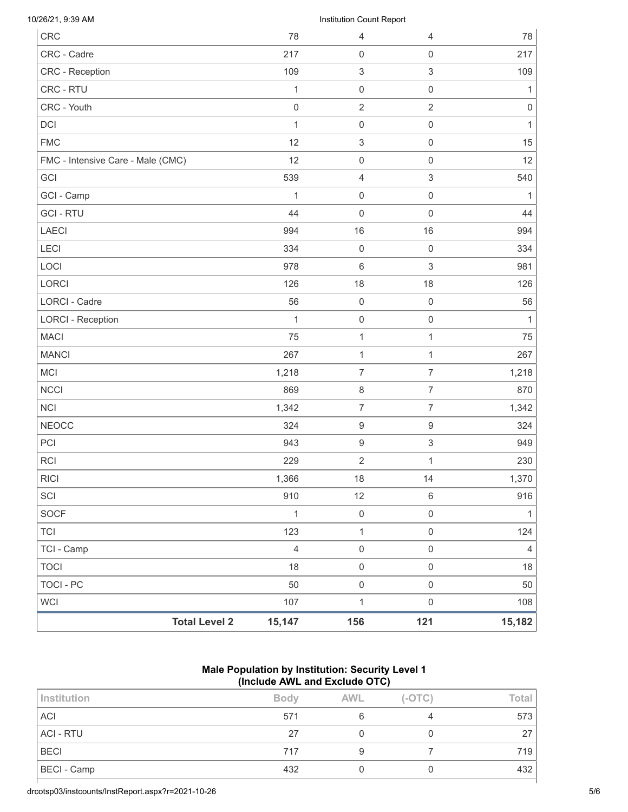| <b>Total Level 2</b>              | 15,147           | 156                      | 121                       | 15,182              |
|-----------------------------------|------------------|--------------------------|---------------------------|---------------------|
| <b>WCI</b>                        | 107              | $\mathbf 1$              | $\mathbf 0$               | 108                 |
| <b>TOCI - PC</b>                  | 50               | $\mathbf 0$              | $\mathsf{O}\xspace$       | 50                  |
| <b>TOCI</b>                       | 18               | $\mathsf 0$              | $\mathbf 0$               | 18                  |
| TCI - Camp                        | $\overline{4}$   | $\mathsf 0$              | $\mathsf{O}\xspace$       | $\overline{4}$      |
| <b>TCI</b>                        | 123              | $\mathbf{1}$             | $\mathbf 0$               | 124                 |
| <b>SOCF</b>                       | $\mathbf{1}$     | $\mathbf 0$              | $\mathsf{O}\xspace$       | $\mathbf{1}$        |
| SCI                               | 910              | 12                       | $\,6\,$                   | 916                 |
| <b>RICI</b>                       | 1,366            | 18                       | 14                        | 1,370               |
| <b>RCI</b>                        | 229              | $\overline{2}$           | 1                         | 230                 |
| PCI                               | 943              | $\boldsymbol{9}$         | $\ensuremath{\mathsf{3}}$ | 949                 |
| <b>NEOCC</b>                      | 324              | $\boldsymbol{9}$         | $\boldsymbol{9}$          | 324                 |
| <b>NCI</b>                        | 1,342            | $\overline{7}$           | $\overline{7}$            | 1,342               |
| <b>NCCI</b>                       | 869              | $\, 8$                   | $\overline{7}$            | 870                 |
| <b>MCI</b>                        | 1,218            | $\overline{7}$           | $\overline{7}$            | 1,218               |
| <b>MANCI</b>                      | 267              | $\mathbf{1}$             | $\mathbf{1}$              | 267                 |
| <b>MACI</b>                       | 75               | $\mathbf{1}$             | $\mathbf{1}$              | 75                  |
| <b>LORCI - Reception</b>          | $\mathbf{1}$     | $\mathsf{O}\xspace$      | $\mathbf 0$               | $\mathbf{1}$        |
| <b>LORCI - Cadre</b>              | 56               | $\mathsf 0$              | $\mathbf 0$               | 56                  |
| <b>LORCI</b>                      | 126              | 18                       | 18                        | 126                 |
| LOCI                              | 978              | $\,6\,$                  | $\ensuremath{\mathsf{3}}$ | 981                 |
| LECI                              | 334              | $\mathbf 0$              | $\mathbf 0$               | 334                 |
| <b>LAECI</b>                      | 994              | 16                       | 16                        | 994                 |
| <b>GCI-RTU</b>                    | 44               | $\mathsf{O}\xspace$      | $\mathbf 0$               | 44                  |
| GCI - Camp                        | 1                | $\mathbf 0$              | $\mathbf 0$               | $\mathbf{1}$        |
| GCI                               | 539              | $\overline{4}$           | $\,$ 3 $\,$               | 540                 |
| FMC - Intensive Care - Male (CMC) | 12               | $\mathbf 0$              | $\mathbf 0$               | 12                  |
| <b>FMC</b>                        | 12               | 3                        | $\mathbf 0$               | 15                  |
| <b>DCI</b>                        | $\mathbf{1}$     | $\mathbf 0$              | $\mathbf 0$               | $\mathbf{1}$        |
| CRC - Youth                       | $\boldsymbol{0}$ | $\overline{2}$           | $\overline{2}$            | $\mathsf{O}\xspace$ |
| CRC - RTU                         | 1                | $\mathbf 0$              | $\mathbf 0$               | 1                   |
| CRC - Reception                   | 109              | 3                        | $\,$ 3 $\,$               | 109                 |
| CRC - Cadre                       | 217              | $\mathbf 0$              | $\mathbf 0$               | 217                 |
| <b>CRC</b>                        | 78               | 4                        | 4                         | 78                  |
| 10/26/21, 9:39 AM                 |                  | Institution Count Report |                           |                     |

## **Male Population by Institution: Security Level 1 (Include AWL and Exclude OTC)**

| Institution        | <b>Body</b> | <b>AWL</b> | $(-OTC)$ | Total |
|--------------------|-------------|------------|----------|-------|
| <b>ACI</b>         | 571         |            |          | 573   |
| <b>ACI - RTU</b>   | 27          |            |          | 27    |
| <b>BECI</b>        | 717         |            |          | 719   |
| <b>BECI</b> - Camp | 432         |            |          | 432   |

drcotsp03/instcounts/InstReport.aspx?r=2021-10-26 5/6